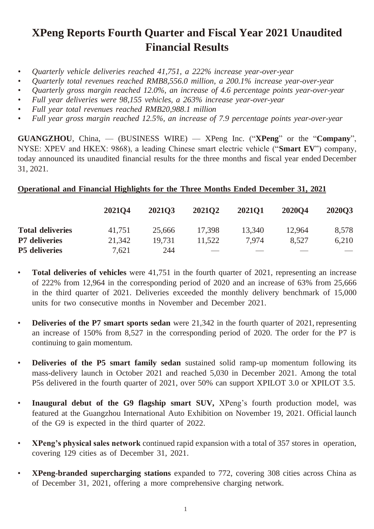# **XPeng Reports Fourth Quarter and Fiscal Year 2021 Unaudited Financial Results**

- *• Quarterly vehicle deliveries reached 41,751, a 222% increase year-over-year*
- *• Quarterly total revenues reached RMB8,556.0 million, a 200.1% increase year-over-year*
- *• Quarterly gross margin reached 12.0%, an increase of 4.6 percentage points year-over-year*
- *• Full year deliveries were 98,155 vehicles, a 263% increase year-over-year*
- *• Full year total revenues reached RMB20,988.1 million*
- *• Full year gross margin reached 12.5%, an increase of 7.9 percentage points year-over-year*

**GUANGZHOU**, China, — (BUSINESS WIRE) — XPeng Inc. ("**XPeng**" or the "**Company**", NYSE: XPEV and HKEX: 9868), a leading Chinese smart electric vehicle ("**Smart EV**") company, today announced its unaudited financial results for the three months and fiscal year ended December 31, 2021.

#### **Operational and Financial Highlights for the Three Months Ended December 31, 2021**

|                         | 202104 | 202103 | 202102 | <b>202101</b> | 202004 | 202003 |
|-------------------------|--------|--------|--------|---------------|--------|--------|
| <b>Total deliveries</b> | 41,751 | 25,666 | 17,398 | 13,340        | 12,964 | 8.578  |
| P7 deliveries           | 21,342 | 19.731 | 11,522 | 7.974         | 8,527  | 6,210  |
| <b>P5</b> deliveries    | 7,621  | 244    | __     | ___           |        |        |

- **Total deliveries of vehicles** were 41,751 in the fourth quarter of 2021, representing an increase of 222% from 12,964 in the corresponding period of 2020 and an increase of 63% from 25,666 in the third quarter of 2021. Deliveries exceeded the monthly delivery benchmark of 15,000 units for two consecutive months in November and December 2021.
- **Deliveries of the P7 smart sports sedan** were 21,342 in the fourth quarter of 2021, representing an increase of 150% from 8,527 in the corresponding period of 2020. The order for the P7 is continuing to gain momentum.
- **Deliveries of the P5 smart family sedan** sustained solid ramp-up momentum following its mass-delivery launch in October 2021 and reached 5,030 in December 2021. Among the total P5s delivered in the fourth quarter of 2021, over 50% can support XPILOT 3.0 or XPILOT 3.5.
- **Inaugural debut of the G9 flagship smart SUV,** XPeng's fourth production model, was featured at the Guangzhou International Auto Exhibition on November 19, 2021. Official launch of the G9 is expected in the third quarter of 2022.
- **XPeng's physical sales network** continued rapid expansion with a total of 357 stores in operation, covering 129 cities as of December 31, 2021.
- **XPeng-branded supercharging stations** expanded to 772, covering 308 cities across China as of December 31, 2021, offering a more comprehensive charging network.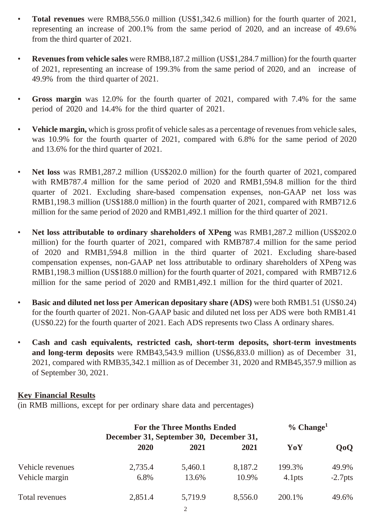- **Total revenues** were RMB8,556.0 million (US\$1,342.6 million) for the fourth quarter of 2021, representing an increase of 200.1% from the same period of 2020, and an increase of 49.6% from the third quarter of 2021.
- **Revenues from vehicle sales** were RMB8,187.2 million (US\$1,284.7 million) for the fourth quarter of 2021, representing an increase of 199.3% from the same period of 2020, and an increase of 49.9% from the third quarter of 2021.
- **Gross margin** was 12.0% for the fourth quarter of 2021, compared with 7.4% for the same period of 2020 and 14.4% for the third quarter of 2021.
- **Vehicle margin,** which is gross profit of vehicle sales as a percentage of revenues from vehicle sales, was 10.9% for the fourth quarter of 2021, compared with 6.8% for the same period of 2020 and 13.6% for the third quarter of 2021.
- **Net loss** was RMB1,287.2 million (US\$202.0 million) for the fourth quarter of 2021, compared with RMB787.4 million for the same period of 2020 and RMB1,594.8 million for the third quarter of 2021. Excluding share-based compensation expenses, non-GAAP net loss was RMB1,198.3 million (US\$188.0 million) in the fourth quarter of 2021, compared with RMB712.6 million for the same period of 2020 and RMB1,492.1 million for the third quarter of 2021.
- **Net loss attributable to ordinary shareholders of XPeng** was RMB1,287.2 million (US\$202.0 million) for the fourth quarter of 2021, compared with RMB787.4 million for the same period of 2020 and RMB1,594.8 million in the third quarter of 2021. Excluding share-based compensation expenses, non-GAAP net loss attributable to ordinary shareholders of XPeng was RMB1,198.3 million (US\$188.0 million) for the fourth quarter of 2021, compared with RMB712.6 million for the same period of 2020 and RMB1,492.1 million for the third quarter of 2021.
- **Basic and diluted net loss per American depositary share (ADS)** were both RMB1.51 (US\$0.24) for the fourth quarter of 2021. Non-GAAP basic and diluted net loss per ADS were both RMB1.41 (US\$0.22) for the fourth quarter of 2021. Each ADS represents two Class A ordinary shares.
- **Cash and cash equivalents, restricted cash, short-term deposits, short-term investments and long-term deposits** were RMB43,543.9 million (US\$6,833.0 million) as of December 31, 2021, compared with RMB35,342.1 million as of December 31, 2020 and RMB45,357.9 million as of September 30, 2021.

#### **Key Financial Results**

(in RMB millions, except for per ordinary share data and percentages)

|                  | <b>For the Three Months Ended</b><br>December 31, September 30, December 31, | $%$ Change <sup>1</sup> |         |        |                  |
|------------------|------------------------------------------------------------------------------|-------------------------|---------|--------|------------------|
|                  | 2020                                                                         | 2021                    | 2021    | YoY    | Q <sub>o</sub> Q |
| Vehicle revenues | 2,735.4                                                                      | 5,460.1                 | 8,187.2 | 199.3% | 49.9%            |
| Vehicle margin   | 6.8%                                                                         | 13.6%                   | 10.9%   | 4.1pts | $-2.7$ pts       |
| Total revenues   | 2,851.4                                                                      | 5,719.9                 | 8,556.0 | 200.1% | 49.6%            |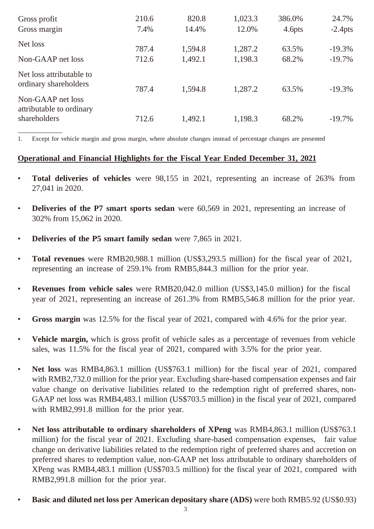| Gross profit                                                  | 210.6 | 820.8   | 1,023.3 | 386.0% | 24.7%     |
|---------------------------------------------------------------|-------|---------|---------|--------|-----------|
| Gross margin                                                  | 7.4%  | 14.4%   | 12.0%   | 4.6pts | $-2.4pts$ |
| Net loss                                                      | 787.4 | 1,594.8 | 1,287.2 | 63.5%  | $-19.3%$  |
| Non-GAAP net loss                                             | 712.6 | 1,492.1 | 1,198.3 | 68.2%  | $-19.7%$  |
| Net loss attributable to<br>ordinary shareholders             | 787.4 | 1,594.8 | 1,287.2 | 63.5%  | $-19.3%$  |
| Non-GAAP net loss<br>attributable to ordinary<br>shareholders | 712.6 | 1,492.1 | 1,198.3 | 68.2%  | $-19.7\%$ |

1. Except for vehicle margin and gross margin, where absolute changes instead of percentage changes are presented

#### **Operational and Financial Highlights for the Fiscal Year Ended December 31, 2021**

- **Total deliveries of vehicles** were 98,155 in 2021, representing an increase of 263% from 27,041 in 2020.
- **Deliveries of the P7 smart sports sedan** were 60,569 in 2021, representing an increase of 302% from 15,062 in 2020.
- **Deliveries of the P5 smart family sedan** were 7,865 in 2021.
- **Total revenues** were RMB20,988.1 million (US\$3,293.5 million) for the fiscal year of 2021, representing an increase of 259.1% from RMB5,844.3 million for the prior year.
- **Revenues from vehicle sales** were RMB20,042.0 million (US\$3,145.0 million) for the fiscal year of 2021, representing an increase of 261.3% from RMB5,546.8 million for the prior year.
- **Gross margin** was 12.5% for the fiscal year of 2021, compared with 4.6% for the prior year.
- **Vehicle margin,** which is gross profit of vehicle sales as a percentage of revenues from vehicle sales, was 11.5% for the fiscal year of 2021, compared with 3.5% for the prior year.
- **Net loss** was RMB4,863.1 million (US\$763.1 million) for the fiscal year of 2021, compared with RMB2,732.0 million for the prior year. Excluding share-based compensation expenses and fair value change on derivative liabilities related to the redemption right of preferred shares, non-GAAP net loss was RMB4,483.1 million (US\$703.5 million) in the fiscal year of 2021, compared with RMB2,991.8 million for the prior year.
- **Net loss attributable to ordinary shareholders of XPeng** was RMB4,863.1 million (US\$763.1 million) for the fiscal year of 2021. Excluding share-based compensation expenses, fair value change on derivative liabilities related to the redemption right of preferred shares and accretion on preferred shares to redemption value, non-GAAP net loss attributable to ordinary shareholders of XPeng was RMB4,483.1 million (US\$703.5 million) for the fiscal year of 2021, compared with RMB2,991.8 million for the prior year.
- **Basic and diluted net loss per American depositary share (ADS)** were both RMB5.92 (US\$0.93)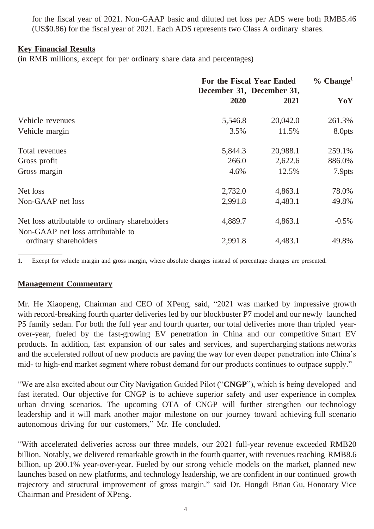for the fiscal year of 2021. Non-GAAP basic and diluted net loss per ADS were both RMB5.46 (US\$0.86) for the fiscal year of 2021. Each ADS represents two Class A ordinary shares.

#### **Key Financial Results**

(in RMB millions, except for per ordinary share data and percentages)

|                                                            | For the Fiscal Year Ended<br>December 31, December 31, | $\%$ Change <sup>1</sup> |          |
|------------------------------------------------------------|--------------------------------------------------------|--------------------------|----------|
|                                                            | 2020                                                   | 2021                     | YoY      |
| Vehicle revenues                                           | 5,546.8                                                | 20,042.0                 | 261.3%   |
| Vehicle margin                                             | 3.5%                                                   | 11.5%                    | 8.0pts   |
| Total revenues                                             | 5,844.3                                                | 20,988.1                 | 259.1%   |
| Gross profit                                               | 266.0                                                  | 2,622.6                  | 886.0%   |
| Gross margin                                               | 4.6%                                                   | 12.5%                    | 7.9pts   |
| Net loss                                                   | 2,732.0                                                | 4,863.1                  | 78.0%    |
| Non-GAAP net loss                                          | 2,991.8                                                | 4,483.1                  | 49.8%    |
| Net loss attributable to ordinary shareholders             | 4,889.7                                                | 4,863.1                  | $-0.5\%$ |
| Non-GAAP net loss attributable to<br>ordinary shareholders | 2,991.8                                                | 4,483.1                  | 49.8%    |

1. Except for vehicle margin and gross margin, where absolute changes instead of percentage changes are presented.

#### **Management Commentary**

Mr. He Xiaopeng, Chairman and CEO of XPeng, said, "2021 was marked by impressive growth with record-breaking fourth quarter deliveries led by our blockbuster P7 model and our newly launched P5 family sedan. For both the full year and fourth quarter, our total deliveries more than tripled yearover-year, fueled by the fast-growing EV penetration in China and our competitive Smart EV products. In addition, fast expansion of our sales and services, and supercharging stations networks and the accelerated rollout of new products are paving the way for even deeper penetration into China's mid- to high-end market segment where robust demand for our products continues to outpace supply."

"We are also excited about our City Navigation Guided Pilot ("**CNGP**"), which is being developed and fast iterated. Our objective for CNGP is to achieve superior safety and user experience in complex urban driving scenarios. The upcoming OTA of CNGP will further strengthen our technology leadership and it will mark another major milestone on our journey toward achieving full scenario autonomous driving for our customers," Mr. He concluded.

"With accelerated deliveries across our three models, our 2021 full-year revenue exceeded RMB20 billion. Notably, we delivered remarkable growth in the fourth quarter, with revenues reaching RMB8.6 billion, up 200.1% year-over-year. Fueled by our strong vehicle models on the market, planned new launches based on new platforms, and technology leadership, we are confident in our continued growth trajectory and structural improvement of gross margin." said Dr. Hongdi Brian Gu, Honorary Vice Chairman and President of XPeng.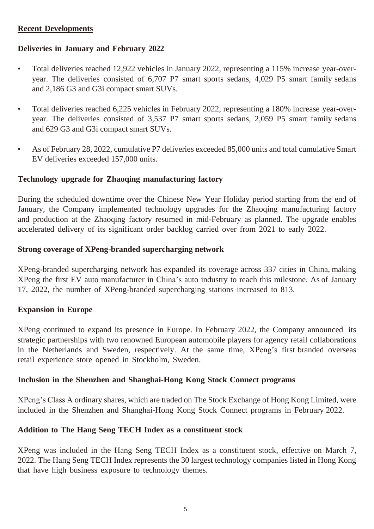#### **Recent Developments**

#### **Deliveries in January and February 2022**

- Total deliveries reached 12,922 vehicles in January 2022, representing a 115% increase year-overyear. The deliveries consisted of 6,707 P7 smart sports sedans, 4,029 P5 smart family sedans and 2,186 G3 and G3i compact smart SUVs.
- Total deliveries reached 6,225 vehicles in February 2022, representing a 180% increase year-overyear. The deliveries consisted of 3,537 P7 smart sports sedans, 2,059 P5 smart family sedans and 629 G3 and G3i compact smart SUVs.
- As of February 28, 2022, cumulative P7 deliveries exceeded 85,000 units and total cumulative Smart EV deliveries exceeded 157,000 units.

#### **Technology upgrade for Zhaoqing manufacturing factory**

During the scheduled downtime over the Chinese New Year Holiday period starting from the end of January, the Company implemented technology upgrades for the Zhaoqing manufacturing factory and production at the Zhaoqing factory resumed in mid-February as planned. The upgrade enables accelerated delivery of its significant order backlog carried over from 2021 to early 2022.

#### **Strong coverage of XPeng-branded supercharging network**

XPeng-branded supercharging network has expanded its coverage across 337 cities in China, making XPeng the first EV auto manufacturer in China's auto industry to reach this milestone. As of January 17, 2022, the number of XPeng-branded supercharging stations increased to 813.

#### **Expansion in Europe**

XPeng continued to expand its presence in Europe. In February 2022, the Company announced its strategic partnerships with two renowned European automobile players for agency retail collaborations in the Netherlands and Sweden, respectively. At the same time, XPeng's first branded overseas retail experience store opened in Stockholm, Sweden.

#### **Inclusion in the Shenzhen and Shanghai-Hong Kong Stock Connect programs**

XPeng's Class A ordinary shares, which are traded on The Stock Exchange of Hong Kong Limited, were included in the Shenzhen and Shanghai-Hong Kong Stock Connect programs in February 2022.

#### **Addition to The Hang Seng TECH Index as a constituent stock**

XPeng was included in the Hang Seng TECH Index as a constituent stock, effective on March 7, 2022. The Hang Seng TECH Index represents the 30 largest technology companies listed in Hong Kong that have high business exposure to technology themes.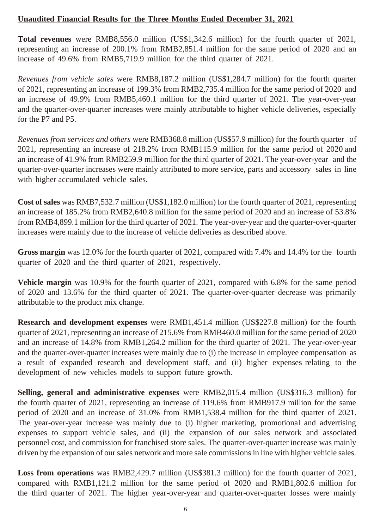#### **Unaudited Financial Results for the Three Months Ended December 31, 2021**

**Total revenues** were RMB8,556.0 million (US\$1,342.6 million) for the fourth quarter of 2021, representing an increase of 200.1% from RMB2,851.4 million for the same period of 2020 and an increase of 49.6% from RMB5,719.9 million for the third quarter of 2021.

*Revenues from vehicle sales* were RMB8,187.2 million (US\$1,284.7 million) for the fourth quarter of 2021, representing an increase of 199.3% from RMB2,735.4 million for the same period of 2020 and an increase of 49.9% from RMB5,460.1 million for the third quarter of 2021. The year-over-year and the quarter-over-quarter increases were mainly attributable to higher vehicle deliveries, especially for the P7 and P5.

*Revenues from services and others* were RMB368.8 million (US\$57.9 million) for the fourth quarter of 2021, representing an increase of 218.2% from RMB115.9 million for the same period of 2020 and an increase of 41.9% from RMB259.9 million for the third quarter of 2021. The year-over-year and the quarter-over-quarter increases were mainly attributed to more service, parts and accessory sales in line with higher accumulated vehicle sales.

**Cost of sales** was RMB7,532.7 million (US\$1,182.0 million) for the fourth quarter of 2021, representing an increase of 185.2% from RMB2,640.8 million for the same period of 2020 and an increase of 53.8% from RMB4,899.1 million for the third quarter of 2021. The year-over-year and the quarter-over-quarter increases were mainly due to the increase of vehicle deliveries as described above.

**Gross margin** was 12.0% for the fourth quarter of 2021, compared with 7.4% and 14.4% for the fourth quarter of 2020 and the third quarter of 2021, respectively.

**Vehicle margin** was 10.9% for the fourth quarter of 2021, compared with 6.8% for the same period of 2020 and 13.6% for the third quarter of 2021. The quarter-over-quarter decrease was primarily attributable to the product mix change.

**Research and development expenses** were RMB1,451.4 million (US\$227.8 million) for the fourth quarter of 2021, representing an increase of 215.6% from RMB460.0 million for the same period of 2020 and an increase of 14.8% from RMB1,264.2 million for the third quarter of 2021. The year-over-year and the quarter-over-quarter increases were mainly due to (i) the increase in employee compensation as a result of expanded research and development staff, and (ii) higher expenses relating to the development of new vehicles models to support future growth.

**Selling, general and administrative expenses** were RMB2,015.4 million (US\$316.3 million) for the fourth quarter of 2021, representing an increase of 119.6% from RMB917.9 million for the same period of 2020 and an increase of 31.0% from RMB1,538.4 million for the third quarter of 2021. The year-over-year increase was mainly due to (i) higher marketing, promotional and advertising expenses to support vehicle sales, and (ii) the expansion of our sales network and associated personnel cost, and commission for franchised store sales. The quarter-over-quarter increase was mainly driven by the expansion of our sales network and more sale commissions in line with higher vehicle sales.

**Loss from operations** was RMB2,429.7 million (US\$381.3 million) for the fourth quarter of 2021, compared with RMB1,121.2 million for the same period of 2020 and RMB1,802.6 million for the third quarter of 2021. The higher year-over-year and quarter-over-quarter losses were mainly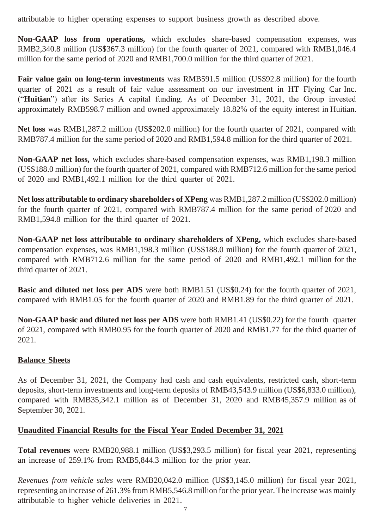attributable to higher operating expenses to support business growth as described above.

**Non-GAAP loss from operations,** which excludes share-based compensation expenses, was RMB2,340.8 million (US\$367.3 million) for the fourth quarter of 2021, compared with RMB1,046.4 million for the same period of 2020 and RMB1,700.0 million for the third quarter of 2021.

**Fair value gain on long-term investments** was RMB591.5 million (US\$92.8 million) for the fourth quarter of 2021 as a result of fair value assessment on our investment in HT Flying Car Inc. ("**Huitian**") after its Series A capital funding. As of December 31, 2021, the Group invested approximately RMB598.7 million and owned approximately 18.82% of the equity interest in Huitian.

**Net loss** was RMB1,287.2 million (US\$202.0 million) for the fourth quarter of 2021, compared with RMB787.4 million for the same period of 2020 and RMB1,594.8 million for the third quarter of 2021.

**Non-GAAP net loss,** which excludes share-based compensation expenses, was RMB1,198.3 million (US\$188.0 million) for the fourth quarter of 2021, compared with RMB712.6 million for the same period of 2020 and RMB1,492.1 million for the third quarter of 2021.

**Net loss attributable to ordinary shareholders of XPeng** was RMB1,287.2 million (US\$202.0 million) for the fourth quarter of 2021, compared with RMB787.4 million for the same period of 2020 and RMB1,594.8 million for the third quarter of 2021.

**Non-GAAP net loss attributable to ordinary shareholders of XPeng,** which excludes share-based compensation expenses, was RMB1,198.3 million (US\$188.0 million) for the fourth quarter of 2021, compared with RMB712.6 million for the same period of 2020 and RMB1,492.1 million for the third quarter of 2021.

**Basic and diluted net loss per ADS** were both RMB1.51 (US\$0.24) for the fourth quarter of 2021, compared with RMB1.05 for the fourth quarter of 2020 and RMB1.89 for the third quarter of 2021.

**Non-GAAP basic and diluted net loss per ADS** were both RMB1.41 (US\$0.22) for the fourth quarter of 2021, compared with RMB0.95 for the fourth quarter of 2020 and RMB1.77 for the third quarter of 2021.

#### **Balance Sheets**

As of December 31, 2021, the Company had cash and cash equivalents, restricted cash, short-term deposits, short-term investments and long-term deposits of RMB43,543.9 million (US\$6,833.0 million), compared with RMB35,342.1 million as of December 31, 2020 and RMB45,357.9 million as of September 30, 2021.

#### **Unaudited Financial Results for the Fiscal Year Ended December 31, 2021**

**Total revenues** were RMB20,988.1 million (US\$3,293.5 million) for fiscal year 2021, representing an increase of 259.1% from RMB5,844.3 million for the prior year.

*Revenues from vehicle sales* were RMB20,042.0 million (US\$3,145.0 million) for fiscal year 2021, representing an increase of 261.3% from RMB5,546.8 million for the prior year. The increase was mainly attributable to higher vehicle deliveries in 2021.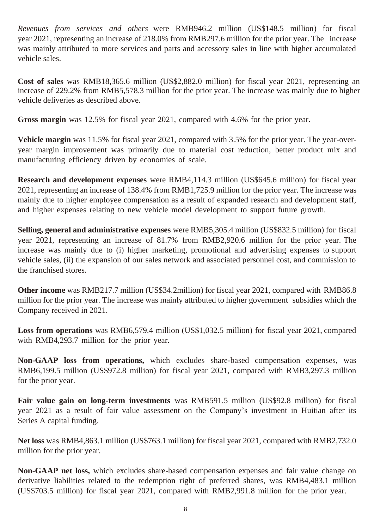*Revenues from services and others* were RMB946.2 million (US\$148.5 million) for fiscal year 2021, representing an increase of 218.0% from RMB297.6 million for the prior year. The increase was mainly attributed to more services and parts and accessory sales in line with higher accumulated vehicle sales.

**Cost of sales** was RMB18,365.6 million (US\$2,882.0 million) for fiscal year 2021, representing an increase of 229.2% from RMB5,578.3 million for the prior year. The increase was mainly due to higher vehicle deliveries as described above.

**Gross margin** was 12.5% for fiscal year 2021, compared with 4.6% for the prior year.

**Vehicle margin** was 11.5% for fiscal year 2021, compared with 3.5% for the prior year. The year-overyear margin improvement was primarily due to material cost reduction, better product mix and manufacturing efficiency driven by economies of scale.

**Research and development expenses** were RMB4,114.3 million (US\$645.6 million) for fiscal year 2021, representing an increase of 138.4% from RMB1,725.9 million for the prior year. The increase was mainly due to higher employee compensation as a result of expanded research and development staff, and higher expenses relating to new vehicle model development to support future growth.

**Selling, general and administrative expenses** were RMB5,305.4 million (US\$832.5 million) for fiscal year 2021, representing an increase of 81.7% from RMB2,920.6 million for the prior year. The increase was mainly due to (i) higher marketing, promotional and advertising expenses to support vehicle sales, (ii) the expansion of our sales network and associated personnel cost, and commission to the franchised stores.

**Other income** was RMB217.7 million (US\$34.2million) for fiscal year 2021, compared with RMB86.8 million for the prior year. The increase was mainly attributed to higher government subsidies which the Company received in 2021.

**Loss from operations** was RMB6,579.4 million (US\$1,032.5 million) for fiscal year 2021, compared with RMB4,293.7 million for the prior year.

**Non-GAAP loss from operations,** which excludes share-based compensation expenses, was RMB6,199.5 million (US\$972.8 million) for fiscal year 2021, compared with RMB3,297.3 million for the prior year.

**Fair value gain on long-term investments** was RMB591.5 million (US\$92.8 million) for fiscal year 2021 as a result of fair value assessment on the Company's investment in Huitian after its Series A capital funding.

**Net loss** was RMB4,863.1 million (US\$763.1 million) for fiscal year 2021, compared with RMB2,732.0 million for the prior year.

**Non-GAAP net loss,** which excludes share-based compensation expenses and fair value change on derivative liabilities related to the redemption right of preferred shares, was RMB4,483.1 million (US\$703.5 million) for fiscal year 2021, compared with RMB2,991.8 million for the prior year.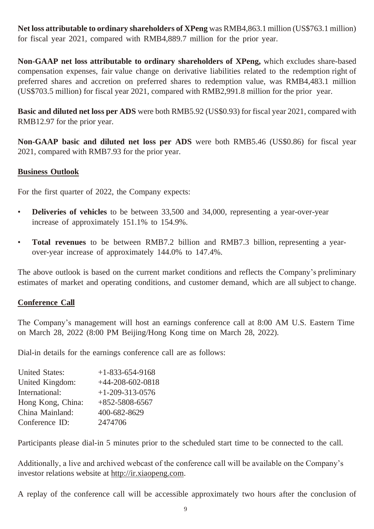**Net loss attributable to ordinary shareholders of XPeng** was RMB4,863.1 million (US\$763.1 million) for fiscal year 2021, compared with RMB4,889.7 million for the prior year.

**Non-GAAP net loss attributable to ordinary shareholders of XPeng,** which excludes share-based compensation expenses, fair value change on derivative liabilities related to the redemption right of preferred shares and accretion on preferred shares to redemption value, was RMB4,483.1 million (US\$703.5 million) for fiscal year 2021, compared with RMB2,991.8 million for the prior year.

**Basic and diluted net loss per ADS** were both RMB5.92 (US\$0.93) for fiscal year 2021, compared with RMB12.97 for the prior year.

**Non-GAAP basic and diluted net loss per ADS** were both RMB5.46 (US\$0.86) for fiscal year 2021, compared with RMB7.93 for the prior year.

#### **Business Outlook**

For the first quarter of 2022, the Company expects:

- **Deliveries of vehicles** to be between 33,500 and 34,000, representing a year-over-year increase of approximately 151.1% to 154.9%.
- **Total revenues** to be between RMB7.2 billion and RMB7.3 billion, representing a yearover-year increase of approximately 144.0% to 147.4%.

The above outlook is based on the current market conditions and reflects the Company's preliminary estimates of market and operating conditions, and customer demand, which are all subject to change.

#### **Conference Call**

The Company's management will host an earnings conference call at 8:00 AM U.S. Eastern Time on March 28, 2022 (8:00 PM Beijing/Hong Kong time on March 28, 2022).

Dial-in details for the earnings conference call are as follows:

| $+1-833-654-9168$    |
|----------------------|
| $+44-208-602-0818$   |
| $+1-209-313-0576$    |
| $+852 - 5808 - 6567$ |
| 400-682-8629         |
| 2474706              |
|                      |

Participants please dial-in 5 minutes prior to the scheduled start time to be connected to the call.

Additionally, a live and archived webcast of the conference call will be available on the Company's investor relations website at [http://ir.xiaopeng.com.](http://ir.xiaopeng.com/)

A replay of the conference call will be accessible approximately two hours after the conclusion of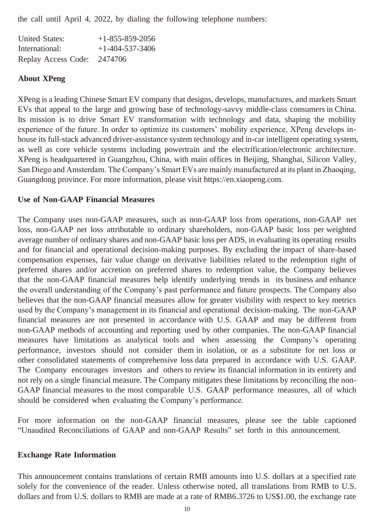the call until April 4, 2022, by dialing the following telephone numbers:

| <b>United States:</b>       | $+1 - 855 - 859 - 2056$ |
|-----------------------------|-------------------------|
| International:              | $+1-404-537-3406$       |
| Replay Access Code: 2474706 |                         |

#### **About XPeng**

XPeng is a leading Chinese Smart EV company that designs, develops, manufactures, and markets Smart EVs that appeal to the large and growing base of technology-savvy middle-class consumers in China. Its mission is to drive Smart EV transformation with technology and data, shaping the mobility experience of the future. In order to optimize its customers' mobility experience, XPeng develops inhouse its full-stack advanced driver-assistance system technology and in-car intelligent operating system, as well as core vehicle systems including powertrain and the electrification/electronic architecture. XPeng is headquartered in Guangzhou, China, with main offices in Beijing, Shanghai, Silicon Valley, San Diego and Amsterdam. The Company's Smart EVs are mainly manufactured at its plant in Zhaoqing, Guangdong province. For more information, please visit https://en.xiaopeng.com.

#### **Use of Non-GAAP Financial Measures**

The Company uses non-GAAP measures, such as non-GAAP loss from operations, non-GAAP net loss, non-GAAP net loss attributable to ordinary shareholders, non-GAAP basic loss per weighted average number of ordinary shares and non-GAAP basic loss per ADS, in evaluating its operating results and for financial and operational decision-making purposes. By excluding the impact of share-based compensation expenses, fair value change on derivative liabilities related to the redemption right of preferred shares and/or accretion on preferred shares to redemption value, the Company believes that the non-GAAP financial measures help identify underlying trends in its business and enhance the overall understanding of the Company's past performance and future prospects. The Company also believes that the non-GAAP financial measures allow for greater visibility with respect to key metrics used by the Company's management in its financial and operational decision-making. The non-GAAP financial measures are not presented in accordance with U.S. GAAP and may be different from non-GAAP methods of accounting and reporting used by other companies. The non-GAAP financial measures have limitations as analytical tools and when assessing the Company's operating performance, investors should not consider them in isolation, or as a substitute for net loss or other consolidated statements of comprehensive loss data prepared in accordance with U.S. GAAP. The Company encourages investors and others to review its financial information in its entirety and not rely on a single financial measure. The Company mitigates these limitations by reconciling the non-GAAP financial measures to the most comparable U.S. GAAP performance measures, all of which should be considered when evaluating the Company's performance.

For more information on the non-GAAP financial measures, please see the table captioned "Unaudited Reconciliations of GAAP and non-GAAP Results" set forth in this announcement.

#### **Exchange Rate Information**

This announcement contains translations of certain RMB amounts into U.S. dollars at a specified rate solely for the convenience of the reader. Unless otherwise noted, all translations from RMB to U.S. dollars and from U.S. dollars to RMB are made at a rate of RMB6.3726 to US\$1.00, the exchange rate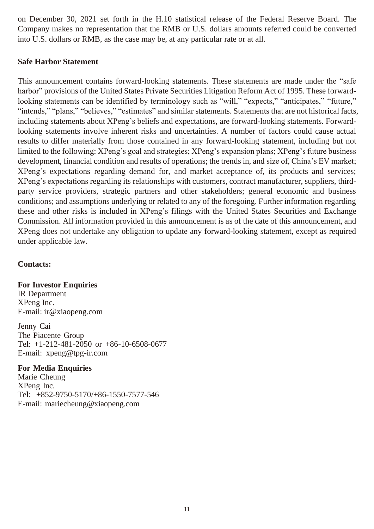on December 30, 2021 set forth in the H.10 statistical release of the Federal Reserve Board. The Company makes no representation that the RMB or U.S. dollars amounts referred could be converted into U.S. dollars or RMB, as the case may be, at any particular rate or at all.

#### **Safe Harbor Statement**

This announcement contains forward-looking statements. These statements are made under the "safe harbor" provisions of the United States Private Securities Litigation Reform Act of 1995. These forwardlooking statements can be identified by terminology such as "will," "expects," "anticipates," "future," "intends," "plans," "believes," "estimates" and similar statements. Statements that are not historical facts, including statements about XPeng's beliefs and expectations, are forward-looking statements. Forwardlooking statements involve inherent risks and uncertainties. A number of factors could cause actual results to differ materially from those contained in any forward-looking statement, including but not limited to the following: XPeng's goal and strategies; XPeng's expansion plans; XPeng's future business development, financial condition and results of operations; the trends in, and size of, China's EV market; XPeng's expectations regarding demand for, and market acceptance of, its products and services; XPeng's expectations regarding its relationships with customers, contract manufacturer, suppliers, thirdparty service providers, strategic partners and other stakeholders; general economic and business conditions; and assumptions underlying or related to any of the foregoing. Further information regarding these and other risks is included in XPeng's filings with the United States Securities and Exchange Commission. All information provided in this announcement is as of the date of this announcement, and XPeng does not undertake any obligation to update any forward-looking statement, except as required under applicable law.

#### **Contacts:**

#### **For Investor Enquiries**

IR Department XPeng Inc. E-mail: [ir@xiaopeng.com](mailto:ir@xiaopeng.com)

Jenny Cai The Piacente Group Tel: +1-212-481-2050 or +86-10-6508-0677 E-mail: [xpeng@tpg-ir.com](mailto:xpeng@tpg-ir.com)

#### **For Media Enquiries**

Marie Cheung XPeng Inc. Tel: +852-9750-5170/+86-1550-7577-546 E-mail: [mariecheung@xiaopeng.com](mailto:mariecheung@xiaopeng.com)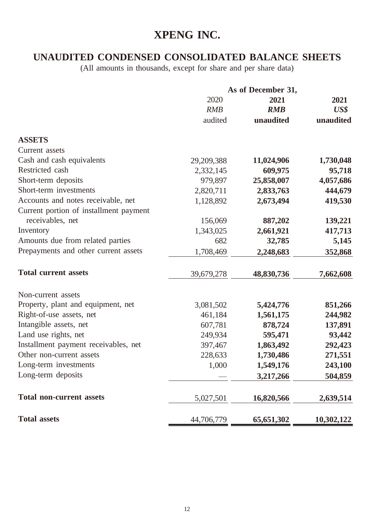### **UNAUDITED CONDENSED CONSOLIDATED BALANCE SHEETS**

|                                        | As of December 31, |            |            |  |
|----------------------------------------|--------------------|------------|------------|--|
|                                        | 2020               | 2021       | 2021       |  |
|                                        | <b>RMB</b>         | <b>RMB</b> | US\$       |  |
|                                        | audited            | unaudited  | unaudited  |  |
| <b>ASSETS</b>                          |                    |            |            |  |
| Current assets                         |                    |            |            |  |
| Cash and cash equivalents              | 29,209,388         | 11,024,906 | 1,730,048  |  |
| Restricted cash                        | 2,332,145          | 609,975    | 95,718     |  |
| Short-term deposits                    | 979,897            | 25,858,007 | 4,057,686  |  |
| Short-term investments                 | 2,820,711          | 2,833,763  | 444,679    |  |
| Accounts and notes receivable, net     | 1,128,892          | 2,673,494  | 419,530    |  |
| Current portion of installment payment |                    |            |            |  |
| receivables, net                       | 156,069            | 887,202    | 139,221    |  |
| Inventory                              | 1,343,025          | 2,661,921  | 417,713    |  |
| Amounts due from related parties       | 682                | 32,785     | 5,145      |  |
| Prepayments and other current assets   | 1,708,469          | 2,248,683  | 352,868    |  |
| <b>Total current assets</b>            | 39,679,278         | 48,830,736 | 7,662,608  |  |
| Non-current assets                     |                    |            |            |  |
| Property, plant and equipment, net     | 3,081,502          | 5,424,776  | 851,266    |  |
| Right-of-use assets, net               | 461,184            | 1,561,175  | 244,982    |  |
| Intangible assets, net                 | 607,781            | 878,724    | 137,891    |  |
| Land use rights, net                   | 249,934            | 595,471    | 93,442     |  |
| Installment payment receivables, net   | 397,467            | 1,863,492  | 292,423    |  |
| Other non-current assets               | 228,633            | 1,730,486  | 271,551    |  |
| Long-term investments                  | 1,000              | 1,549,176  | 243,100    |  |
| Long-term deposits                     |                    | 3,217,266  | 504,859    |  |
| <b>Total non-current assets</b>        | 5,027,501          | 16,820,566 | 2,639,514  |  |
| <b>Total assets</b>                    | 44,706,779         | 65,651,302 | 10,302,122 |  |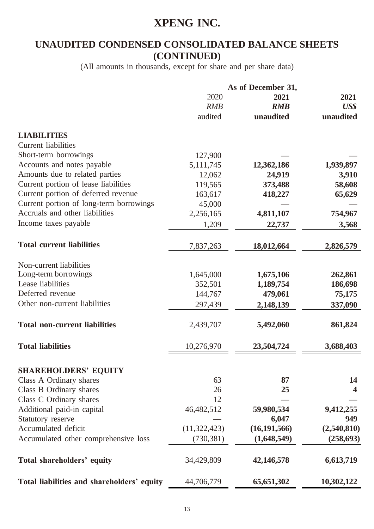### **UNAUDITED CONDENSED CONSOLIDATED BALANCE SHEETS (CONTINUED)**

|                                            | As of December 31, |                |                         |
|--------------------------------------------|--------------------|----------------|-------------------------|
|                                            | 2020               | 2021           | 2021                    |
|                                            | <b>RMB</b>         | <b>RMB</b>     | $\boldsymbol{U}$ S\$    |
|                                            | audited            | unaudited      | unaudited               |
| <b>LIABILITIES</b>                         |                    |                |                         |
| <b>Current liabilities</b>                 |                    |                |                         |
| Short-term borrowings                      | 127,900            |                |                         |
| Accounts and notes payable                 | 5,111,745          | 12,362,186     | 1,939,897               |
| Amounts due to related parties             | 12,062             | 24,919         | 3,910                   |
| Current portion of lease liabilities       | 119,565            | 373,488        | 58,608                  |
| Current portion of deferred revenue        | 163,617            | 418,227        | 65,629                  |
| Current portion of long-term borrowings    | 45,000             |                |                         |
| Accruals and other liabilities             | 2,256,165          | 4,811,107      | 754,967                 |
| Income taxes payable                       | 1,209              | 22,737         | 3,568                   |
| <b>Total current liabilities</b>           | 7,837,263          | 18,012,664     | 2,826,579               |
| Non-current liabilities                    |                    |                |                         |
| Long-term borrowings                       | 1,645,000          | 1,675,106      | 262,861                 |
| Lease liabilities                          | 352,501            | 1,189,754      | 186,698                 |
| Deferred revenue                           | 144,767            | 479,061        |                         |
| Other non-current liabilities              |                    |                | 75,175                  |
|                                            | 297,439            | 2,148,139      | 337,090                 |
| <b>Total non-current liabilities</b>       | 2,439,707          | 5,492,060      | 861,824                 |
| <b>Total liabilities</b>                   | 10,276,970         | 23,504,724     | 3,688,403               |
|                                            |                    |                |                         |
| <b>SHAREHOLDERS' EQUITY</b>                |                    |                |                         |
| Class A Ordinary shares                    | 63                 | 87             | 14                      |
| Class B Ordinary shares                    | 26                 | 25             | $\overline{\mathbf{4}}$ |
| Class C Ordinary shares                    | 12                 |                |                         |
| Additional paid-in capital                 | 46,482,512         | 59,980,534     | 9,412,255               |
| Statutory reserve                          |                    | 6,047          | 949                     |
| Accumulated deficit                        | (11,322,423)       | (16, 191, 566) | (2,540,810)             |
| Accumulated other comprehensive loss       | (730, 381)         | (1,648,549)    | (258, 693)              |
| Total shareholders' equity                 | 34,429,809         | 42,146,578     | 6,613,719               |
| Total liabilities and shareholders' equity | 44,706,779         | 65, 651, 302   | 10,302,122              |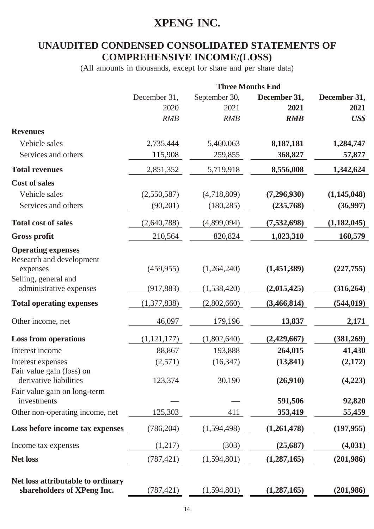### **UNAUDITED CONDENSED CONSOLIDATED STATEMENTS OF COMPREHENSIVE INCOME/(LOSS)**

|                                                                 | <b>Three Months End</b> |               |              |              |  |
|-----------------------------------------------------------------|-------------------------|---------------|--------------|--------------|--|
|                                                                 | December 31,            | September 30, | December 31, | December 31, |  |
|                                                                 | 2020                    | 2021          | 2021         | 2021         |  |
|                                                                 | <b>RMB</b>              | <b>RMB</b>    | <b>RMB</b>   | US\$         |  |
| <b>Revenues</b>                                                 |                         |               |              |              |  |
| Vehicle sales                                                   | 2,735,444               | 5,460,063     | 8,187,181    | 1,284,747    |  |
| Services and others                                             | 115,908                 | 259,855       | 368,827      | 57,877       |  |
| <b>Total revenues</b>                                           | 2,851,352               | 5,719,918     | 8,556,008    | 1,342,624    |  |
| <b>Cost of sales</b>                                            |                         |               |              |              |  |
| Vehicle sales                                                   | (2,550,587)             | (4,718,809)   | (7,296,930)  | (1,145,048)  |  |
| Services and others                                             | (90,201)                | (180, 285)    | (235,768)    | (36,997)     |  |
| <b>Total cost of sales</b>                                      | (2,640,788)             | (4,899,094)   | (7,532,698)  | (1,182,045)  |  |
| <b>Gross profit</b>                                             | 210,564                 | 820,824       | 1,023,310    | 160,579      |  |
| <b>Operating expenses</b>                                       |                         |               |              |              |  |
| Research and development                                        |                         |               |              |              |  |
| expenses                                                        | (459, 955)              | (1,264,240)   | (1,451,389)  | (227, 755)   |  |
| Selling, general and                                            |                         |               |              |              |  |
| administrative expenses                                         | (917, 883)              | (1,538,420)   | (2,015,425)  | (316, 264)   |  |
| <b>Total operating expenses</b>                                 | (1,377,838)             | (2,802,660)   | (3,466,814)  | (544, 019)   |  |
| Other income, net                                               | 46,097                  | 179,196       | 13,837       | 2,171        |  |
| <b>Loss from operations</b>                                     | (1, 121, 177)           | (1,802,640)   | (2,429,667)  | (381,269)    |  |
| Interest income                                                 | 88,867                  | 193,888       | 264,015      | 41,430       |  |
| Interest expenses                                               | (2,571)                 | (16, 347)     | (13, 841)    | (2,172)      |  |
| Fair value gain (loss) on<br>derivative liabilities             | 123,374                 | 30,190        | (26,910)     | (4,223)      |  |
| Fair value gain on long-term                                    |                         |               |              |              |  |
| investments                                                     |                         |               | 591,506      | 92,820       |  |
| Other non-operating income, net                                 | 125,303                 | 411           | 353,419      | 55,459       |  |
| Loss before income tax expenses                                 | (786, 204)              | (1,594,498)   | (1,261,478)  | (197, 955)   |  |
| Income tax expenses                                             | (1,217)                 | (303)         | (25, 687)    | (4,031)      |  |
| <b>Net loss</b>                                                 | (787, 421)              | (1,594,801)   | (1,287,165)  | (201,986)    |  |
|                                                                 |                         |               |              |              |  |
| Net loss attributable to ordinary<br>shareholders of XPeng Inc. | (787, 421)              | (1,594,801)   | (1,287,165)  | (201,986)    |  |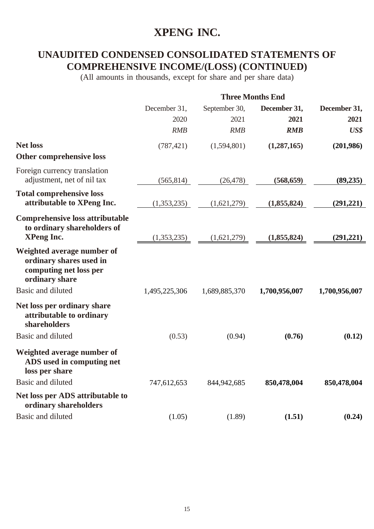### **UNAUDITED CONDENSED CONSOLIDATED STATEMENTS OF COMPREHENSIVE INCOME/(LOSS) (CONTINUED)**

|                                                                                                   | <b>Three Months End</b> |               |               |               |  |
|---------------------------------------------------------------------------------------------------|-------------------------|---------------|---------------|---------------|--|
|                                                                                                   | December 31,            | September 30, | December 31,  | December 31,  |  |
|                                                                                                   | 2020                    | 2021          | 2021          | 2021          |  |
|                                                                                                   | <b>RMB</b>              | RMB           | <b>RMB</b>    | US\$          |  |
| <b>Net loss</b>                                                                                   | (787, 421)              | (1,594,801)   | (1,287,165)   | (201,986)     |  |
| <b>Other comprehensive loss</b>                                                                   |                         |               |               |               |  |
| Foreign currency translation                                                                      |                         |               |               |               |  |
| adjustment, net of nil tax                                                                        | (565, 814)              | (26, 478)     | (568, 659)    | (89, 235)     |  |
| <b>Total comprehensive loss</b><br>attributable to XPeng Inc.                                     | (1,353,235)             | (1,621,279)   | (1,855,824)   | (291, 221)    |  |
| <b>Comprehensive loss attributable</b><br>to ordinary shareholders of<br><b>XPeng Inc.</b>        | (1,353,235)             | (1,621,279)   | (1,855,824)   | (291, 221)    |  |
|                                                                                                   |                         |               |               |               |  |
| Weighted average number of<br>ordinary shares used in<br>computing net loss per<br>ordinary share |                         |               |               |               |  |
| Basic and diluted                                                                                 | 1,495,225,306           | 1,689,885,370 | 1,700,956,007 | 1,700,956,007 |  |
| Net loss per ordinary share<br>attributable to ordinary<br>shareholders                           |                         |               |               |               |  |
| Basic and diluted                                                                                 | (0.53)                  | (0.94)        | (0.76)        | (0.12)        |  |
| Weighted average number of<br>ADS used in computing net<br>loss per share                         |                         |               |               |               |  |
| Basic and diluted                                                                                 | 747,612,653             | 844,942,685   | 850,478,004   | 850,478,004   |  |
| Net loss per ADS attributable to<br>ordinary shareholders                                         |                         |               |               |               |  |
| Basic and diluted                                                                                 | (1.05)                  | (1.89)        | (1.51)        | (0.24)        |  |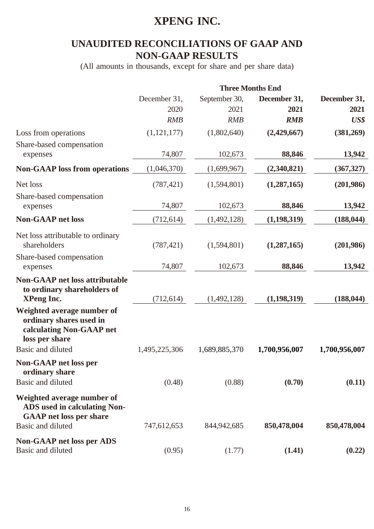### **UNAUDITED RECONCILIATIONS OF GAAP AND NON-GAAP RESULTS**

|                                                                                                     |               | <b>Three Months End</b> |               |               |
|-----------------------------------------------------------------------------------------------------|---------------|-------------------------|---------------|---------------|
|                                                                                                     | December 31,  | September 30,           | December 31,  | December 31,  |
|                                                                                                     | 2020          | 2021                    | 2021          | 2021          |
|                                                                                                     | <b>RMB</b>    | <b>RMB</b>              | <b>RMB</b>    | US\$          |
| Loss from operations                                                                                | (1,121,177)   | (1,802,640)             | (2,429,667)   | (381,269)     |
| Share-based compensation                                                                            |               |                         |               |               |
| expenses                                                                                            | 74,807        | 102,673                 | 88,846        | 13,942        |
| <b>Non-GAAP</b> loss from operations                                                                | (1,046,370)   | (1,699,967)             | (2,340,821)   | (367, 327)    |
| Net loss                                                                                            | (787, 421)    | (1,594,801)             | (1,287,165)   | (201,986)     |
| Share-based compensation                                                                            |               |                         |               |               |
| expenses                                                                                            | 74,807        | 102,673                 | 88,846        | 13,942        |
| <b>Non-GAAP</b> net loss                                                                            | (712, 614)    | (1,492,128)             | (1, 198, 319) | (188, 044)    |
| Net loss attributable to ordinary                                                                   |               |                         |               |               |
| shareholders                                                                                        | (787, 421)    | (1,594,801)             | (1,287,165)   | (201,986)     |
| Share-based compensation                                                                            | 74,807        | 102,673                 | 88,846        | 13,942        |
| expenses                                                                                            |               |                         |               |               |
| <b>Non-GAAP</b> net loss attributable                                                               |               |                         |               |               |
| to ordinary shareholders of<br><b>XPeng Inc.</b>                                                    | (712, 614)    | (1,492,128)             | (1,198,319)   | (188, 044)    |
| Weighted average number of<br>ordinary shares used in<br>calculating Non-GAAP net<br>loss per share |               |                         |               |               |
| Basic and diluted                                                                                   | 1,495,225,306 | 1,689,885,370           | 1,700,956,007 | 1,700,956,007 |
| <b>Non-GAAP</b> net loss per<br>ordinary share                                                      |               |                         |               |               |
| Basic and diluted                                                                                   | (0.48)        | (0.88)                  | (0.70)        | (0.11)        |
| Weighted average number of<br>ADS used in calculating Non-<br><b>GAAP</b> net loss per share        |               |                         |               |               |
| Basic and diluted                                                                                   | 747,612,653   | 844,942,685             | 850,478,004   | 850,478,004   |
| <b>Non-GAAP net loss per ADS</b>                                                                    |               |                         |               |               |
| Basic and diluted                                                                                   | (0.95)        | (1.77)                  | (1.41)        | (0.22)        |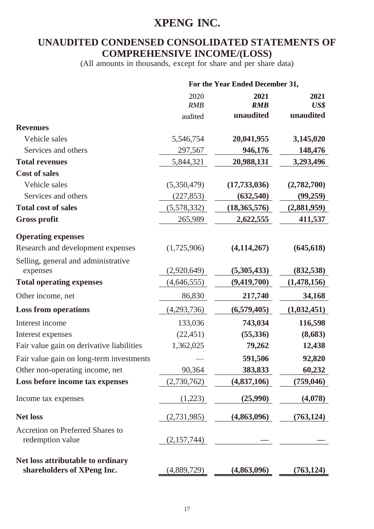### **UNAUDITED CONDENSED CONSOLIDATED STATEMENTS OF COMPREHENSIVE INCOME/(LOSS)**

|                                                                 | For the Year Ended December 31, |                |             |  |
|-----------------------------------------------------------------|---------------------------------|----------------|-------------|--|
|                                                                 | 2020                            | 2021           | 2021        |  |
|                                                                 | <b>RMB</b>                      | <b>RMB</b>     | US\$        |  |
|                                                                 | audited                         | unaudited      | unaudited   |  |
| <b>Revenues</b>                                                 |                                 |                |             |  |
| Vehicle sales                                                   | 5,546,754                       | 20,041,955     | 3,145,020   |  |
| Services and others                                             | 297,567                         | 946,176        | 148,476     |  |
| <b>Total revenues</b>                                           | 5,844,321                       | 20,988,131     | 3,293,496   |  |
| <b>Cost of sales</b>                                            |                                 |                |             |  |
| Vehicle sales                                                   | (5,350,479)                     | (17,733,036)   | (2,782,700) |  |
| Services and others                                             | (227, 853)                      | (632, 540)     | (99,259)    |  |
| <b>Total cost of sales</b>                                      | (5,578,332)                     | (18, 365, 576) | (2,881,959) |  |
| <b>Gross profit</b>                                             | 265,989                         | 2,622,555      | 411,537     |  |
| <b>Operating expenses</b>                                       |                                 |                |             |  |
| Research and development expenses                               | (1,725,906)                     | (4, 114, 267)  | (645, 618)  |  |
| Selling, general and administrative                             |                                 |                |             |  |
| expenses                                                        | (2,920,649)                     | (5,305,433)    | (832, 538)  |  |
| <b>Total operating expenses</b>                                 | (4, 646, 555)                   | (9,419,700)    | (1,478,156) |  |
| Other income, net                                               | 86,830                          | 217,740        | 34,168      |  |
| <b>Loss from operations</b>                                     | (4,293,736)                     | (6,579,405)    | (1,032,451) |  |
| Interest income                                                 | 133,036                         | 743,034        | 116,598     |  |
| Interest expenses                                               | (22, 451)                       | (55,336)       | (8,683)     |  |
| Fair value gain on derivative liabilities                       | 1,362,025                       | 79,262         | 12,438      |  |
| Fair value gain on long-term investments                        |                                 | 591,506        | 92,820      |  |
| Other non-operating income, net                                 | 90,364                          | 383,833        | 60,232      |  |
| Loss before income tax expenses                                 | (2,730,762)                     | (4,837,106)    | (759, 046)  |  |
| Income tax expenses                                             | (1,223)                         | (25,990)       | (4,078)     |  |
| <b>Net loss</b>                                                 | (2,731,985)                     | (4,863,096)    | (763, 124)  |  |
| <b>Accretion on Preferred Shares to</b><br>redemption value     | (2,157,744)                     |                |             |  |
| Net loss attributable to ordinary<br>shareholders of XPeng Inc. | (4,889,729)                     | (4,863,096)    | (763, 124)  |  |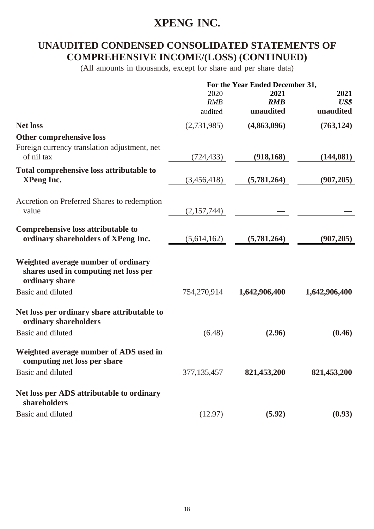### **UNAUDITED CONDENSED CONSOLIDATED STATEMENTS OF COMPREHENSIVE INCOME/(LOSS) (CONTINUED)**

|                                                                                                | For the Year Ended December 31, |                                 |                           |
|------------------------------------------------------------------------------------------------|---------------------------------|---------------------------------|---------------------------|
|                                                                                                | 2020<br><b>RMB</b><br>audited   | 2021<br><b>RMB</b><br>unaudited | 2021<br>US\$<br>unaudited |
| <b>Net loss</b>                                                                                | (2,731,985)                     | (4,863,096)                     | (763, 124)                |
| Other comprehensive loss                                                                       |                                 |                                 |                           |
| Foreign currency translation adjustment, net<br>of nil tax                                     | (724, 433)                      | (918, 168)                      | (144, 081)                |
| Total comprehensive loss attributable to<br><b>XPeng Inc.</b>                                  | (3,456,418)                     | (5,781,264)                     | (907, 205)                |
| Accretion on Preferred Shares to redemption<br>value                                           | (2,157,744)                     |                                 |                           |
| <b>Comprehensive loss attributable to</b><br>ordinary shareholders of XPeng Inc.               | (5,614,162)                     | (5,781,264)                     | (907, 205)                |
| Weighted average number of ordinary<br>shares used in computing net loss per<br>ordinary share |                                 |                                 |                           |
| Basic and diluted                                                                              | 754,270,914                     | 1,642,906,400                   | 1,642,906,400             |
| Net loss per ordinary share attributable to<br>ordinary shareholders                           |                                 |                                 |                           |
| Basic and diluted                                                                              | (6.48)                          | (2.96)                          | (0.46)                    |
| Weighted average number of ADS used in<br>computing net loss per share                         |                                 |                                 |                           |
| Basic and diluted                                                                              | 377, 135, 457                   | 821,453,200                     | 821,453,200               |
| Net loss per ADS attributable to ordinary<br>shareholders                                      |                                 |                                 |                           |
| Basic and diluted                                                                              | (12.97)                         | (5.92)                          | (0.93)                    |